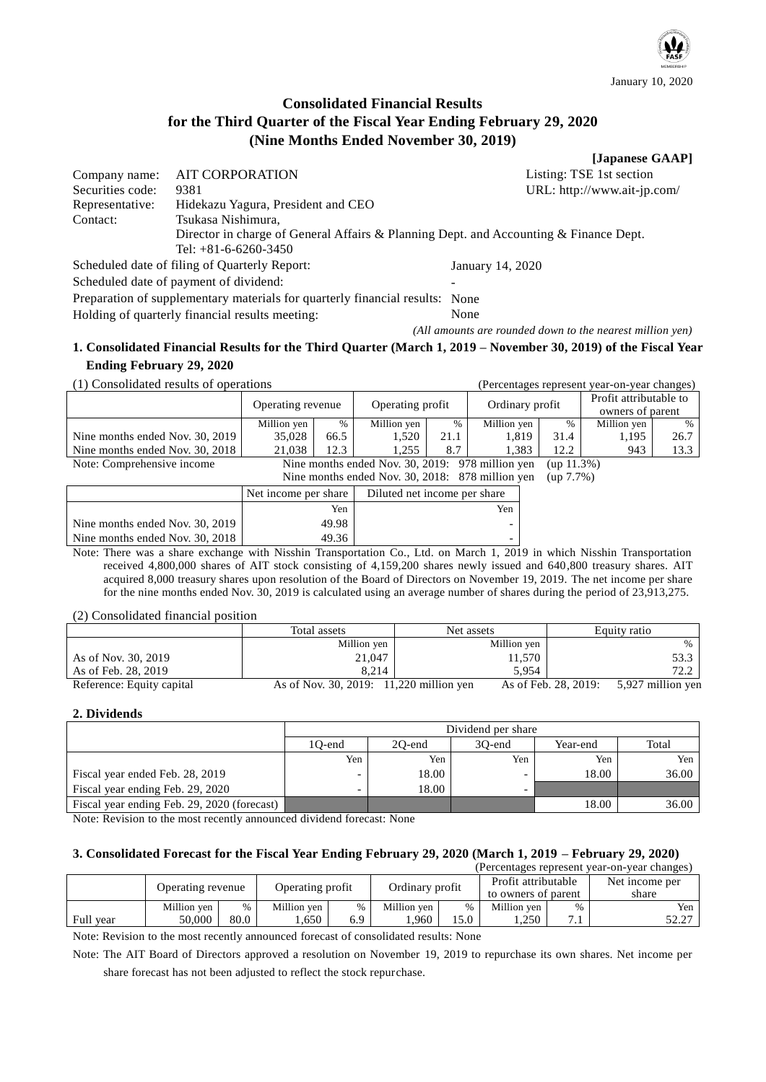

# **Consolidated Financial Results for the Third Quarter of the Fiscal Year Ending February 29, 2020 (Nine Months Ended November 30, 2019)**

|                  |                                               | [Japanese GAAP]                                                                       |
|------------------|-----------------------------------------------|---------------------------------------------------------------------------------------|
| Company name:    | <b>AIT CORPORATION</b>                        | Listing: TSE 1st section                                                              |
| Securities code: | 9381                                          | URL: http://www.ait-jp.com/                                                           |
| Representative:  | Hidekazu Yagura, President and CEO            |                                                                                       |
| Contact:         | Tsukasa Nishimura,                            |                                                                                       |
|                  |                                               | Director in charge of General Affairs & Planning Dept. and Accounting & Finance Dept. |
|                  | Tel: $+81-6-6260-3450$                        |                                                                                       |
|                  | Scheduled date of filing of Quarterly Report: | January 14, 2020                                                                      |

Scheduled date of payment of dividend:

Preparation of supplementary materials for quarterly financial results: None Holding of quarterly financial results meeting: None

*(All amounts are rounded down to the nearest million yen)*

# **1. Consolidated Financial Results for the Third Quarter (March 1, 2019 – November 30, 2019) of the Fiscal Year Ending February 29, 2020**

(1) Consolidated results of operations (Percentages represent year-on-year changes)

|                                 | Operating revenue                                |      | Operating profit                                 |      | Ordinary profit |               | Profit attributable to<br>owners of parent |      |
|---------------------------------|--------------------------------------------------|------|--------------------------------------------------|------|-----------------|---------------|--------------------------------------------|------|
|                                 | Million yen                                      | $\%$ | Million yen                                      | %    | Million yen     | $\frac{0}{0}$ | Million yen                                | $\%$ |
| Nine months ended Nov. 30, 2019 | 35,028                                           | 66.5 | 1,520                                            | 21.1 | 1.819           | 31.4          | 1.195                                      | 26.7 |
| Nine months ended Nov. 30, 2018 | 21.038                                           | 12.3 | 1.255                                            | 8.7  | 1.383           | 12.2          | 943                                        | 13.3 |
| Note: Comprehensive income      | Nine months ended Nov. 30, 2019: 978 million yen |      |                                                  |      |                 | (up 11.3%)    |                                            |      |
|                                 |                                                  |      | Nine months ended Nov. 30, 2018: 878 million yen |      |                 | $(up 7.7\%)$  |                                            |      |

|                                 | Net income per share | Diluted net income per share |
|---------------------------------|----------------------|------------------------------|
|                                 | Yen                  | Yen                          |
| Nine months ended Nov. 30, 2019 | 49.98                | -                            |
| Nine months ended Nov. 30, 2018 | 49.36                | -                            |

Note: There was a share exchange with Nisshin Transportation Co., Ltd. on March 1, 2019 in which Nisshin Transportation received 4,800,000 shares of AIT stock consisting of 4,159,200 shares newly issued and 640,800 treasury shares. AIT acquired 8,000 treasury shares upon resolution of the Board of Directors on November 19, 2019. The net income per share for the nine months ended Nov. 30, 2019 is calculated using an average number of shares during the period of 23,913,275.

(2) Consolidated financial position

|                           | Total assets                            | Net assets  | Equity ratio                              |
|---------------------------|-----------------------------------------|-------------|-------------------------------------------|
|                           | Million yen                             | Million yen | $\%$                                      |
| As of Nov. 30, 2019       | 21,047                                  | 11,570      | 53.3                                      |
| As of Feb. 28, 2019       | 8.214                                   | 5.954       | 72 2                                      |
| Reference: Equity capital | As of Nov. 30, 2019: 11,220 million yen |             | As of Feb. 28, 2019:<br>5,927 million yen |

## **2. Dividends**

|                                             | Dividend per share |        |        |          |       |  |  |
|---------------------------------------------|--------------------|--------|--------|----------|-------|--|--|
|                                             | 10-end             | 20-end | 30-end | Year-end | Total |  |  |
|                                             | Yen                | Yen    | Yen    | Yen      | Yen   |  |  |
| Fiscal year ended Feb. 28, 2019             | -                  | 18.00  | -      | 18.00    | 36.00 |  |  |
| Fiscal year ending Feb. 29, 2020            | -                  | 18.00  | -      |          |       |  |  |
| Fiscal year ending Feb. 29, 2020 (forecast) |                    |        |        | 18.00    | 36.00 |  |  |

Note: Revision to the most recently announced dividend forecast: None

# **3. Consolidated Forecast for the Fiscal Year Ending February 29, 2020 (March 1, 2019 – February 29, 2020)**

| (Percentages represent year-on-year changes) |             |               |                  |      |                 |      |                     |       |                |
|----------------------------------------------|-------------|---------------|------------------|------|-----------------|------|---------------------|-------|----------------|
| Operating revenue                            |             |               | Operating profit |      | Ordinary profit |      | Profit attributable |       | Net income per |
|                                              |             |               |                  |      |                 |      | to owners of parent | share |                |
|                                              | Million yen | $\frac{0}{0}$ | Million ven      | $\%$ | Million yen     | $\%$ | Million ven         | $\%$  | Yen            |
| Full year                                    | 50.000      | 80.0          | 650              | 6.9  | .960            | .5.0 | .250                |       | 52.27          |

Note: Revision to the most recently announced forecast of consolidated results: None

Note: The AIT Board of Directors approved a resolution on November 19, 2019 to repurchase its own shares. Net income per share forecast has not been adjusted to reflect the stock repurchase.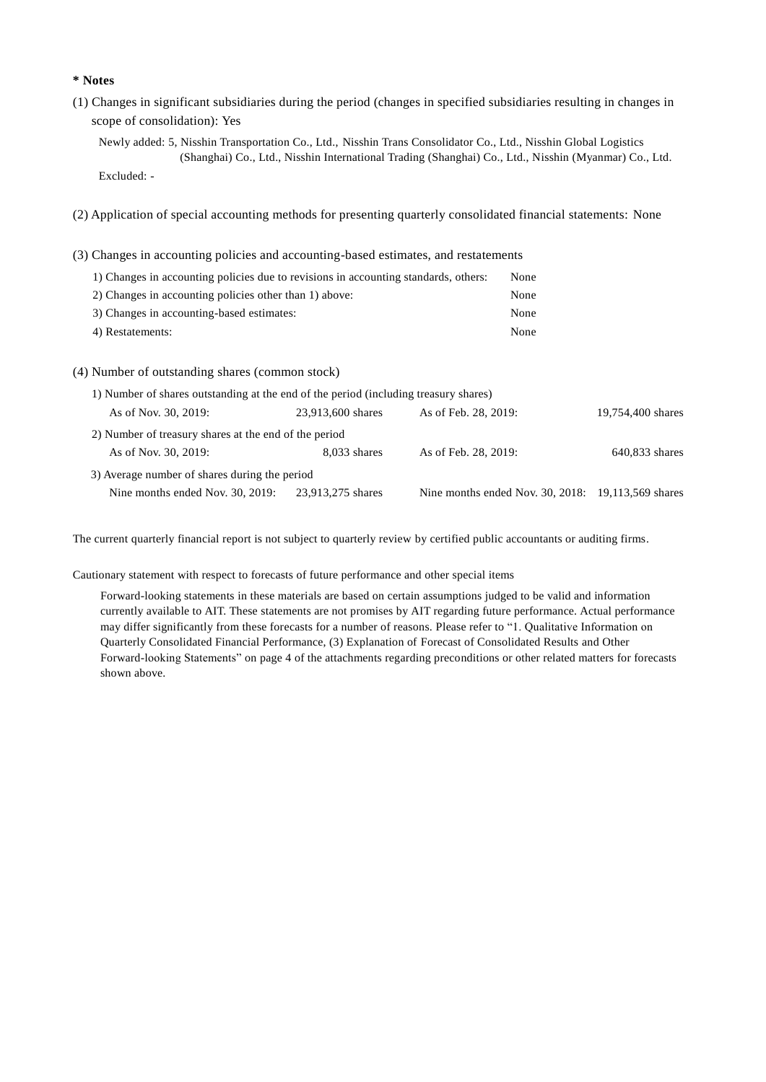### **\* Notes**

(1) Changes in significant subsidiaries during the period (changes in specified subsidiaries resulting in changes in scope of consolidation): Yes

Newly added: 5, Nisshin Transportation Co., Ltd., Nisshin Trans Consolidator Co., Ltd., Nisshin Global Logistics (Shanghai) Co., Ltd., Nisshin International Trading (Shanghai) Co., Ltd., Nisshin (Myanmar) Co., Ltd.

- Excluded: -
- (2) Application of special accounting methods for presenting quarterly consolidated financial statements: None
- (3) Changes in accounting policies and accounting-based estimates, and restatements

| 1) Changes in accounting policies due to revisions in accounting standards, others: | None |
|-------------------------------------------------------------------------------------|------|
| 2) Changes in accounting policies other than 1) above:                              | None |
| 3) Changes in accounting-based estimates:                                           | None |
| 4) Restatements:                                                                    | None |

(4) Number of outstanding shares (common stock)

| 1) Number of shares outstanding at the end of the period (including treasury shares) |                   |                                                      |                   |
|--------------------------------------------------------------------------------------|-------------------|------------------------------------------------------|-------------------|
| As of Nov. 30, 2019:                                                                 | 23,913,600 shares | As of Feb. 28, 2019:                                 | 19,754,400 shares |
| 2) Number of treasury shares at the end of the period                                |                   |                                                      |                   |
| As of Nov. 30, 2019:                                                                 | 8.033 shares      | As of Feb. 28, 2019:                                 | 640.833 shares    |
| 3) Average number of shares during the period                                        |                   |                                                      |                   |
| Nine months ended Nov. 30, 2019:                                                     | 23,913,275 shares | Nine months ended Nov. 30, 2018: 19, 113, 569 shares |                   |

The current quarterly financial report is not subject to quarterly review by certified public accountants or auditing firms.

Cautionary statement with respect to forecasts of future performance and other special items

Forward-looking statements in these materials are based on certain assumptions judged to be valid and information currently available to AIT. These statements are not promises by AIT regarding future performance. Actual performance may differ significantly from these forecasts for a number of reasons. Please refer to "1. Qualitative Information on Quarterly Consolidated Financial Performance, (3) Explanation of Forecast of Consolidated Results and Other Forward-looking Statements" on page 4 of the attachments regarding preconditions or other related matters for forecasts shown above.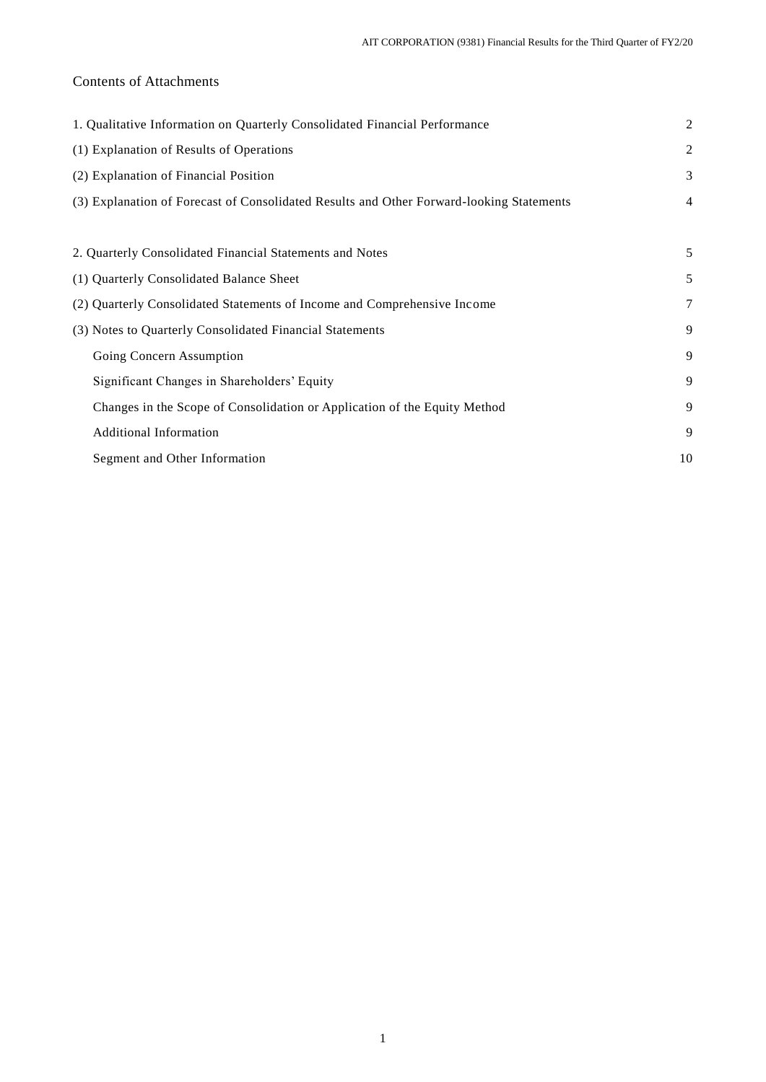# Contents of Attachments

| 1. Qualitative Information on Quarterly Consolidated Financial Performance               | $\overline{2}$ |
|------------------------------------------------------------------------------------------|----------------|
| (1) Explanation of Results of Operations                                                 | $\overline{2}$ |
| (2) Explanation of Financial Position                                                    | 3              |
| (3) Explanation of Forecast of Consolidated Results and Other Forward-looking Statements | $\overline{4}$ |
|                                                                                          |                |
| 2. Quarterly Consolidated Financial Statements and Notes                                 | 5              |
| (1) Quarterly Consolidated Balance Sheet                                                 | 5              |
| (2) Quarterly Consolidated Statements of Income and Comprehensive Income                 | 7              |
| (3) Notes to Quarterly Consolidated Financial Statements                                 | 9              |
| Going Concern Assumption                                                                 | 9              |
| Significant Changes in Shareholders' Equity                                              | 9              |
| Changes in the Scope of Consolidation or Application of the Equity Method                | 9              |
| <b>Additional Information</b>                                                            | 9              |
| Segment and Other Information                                                            | 10             |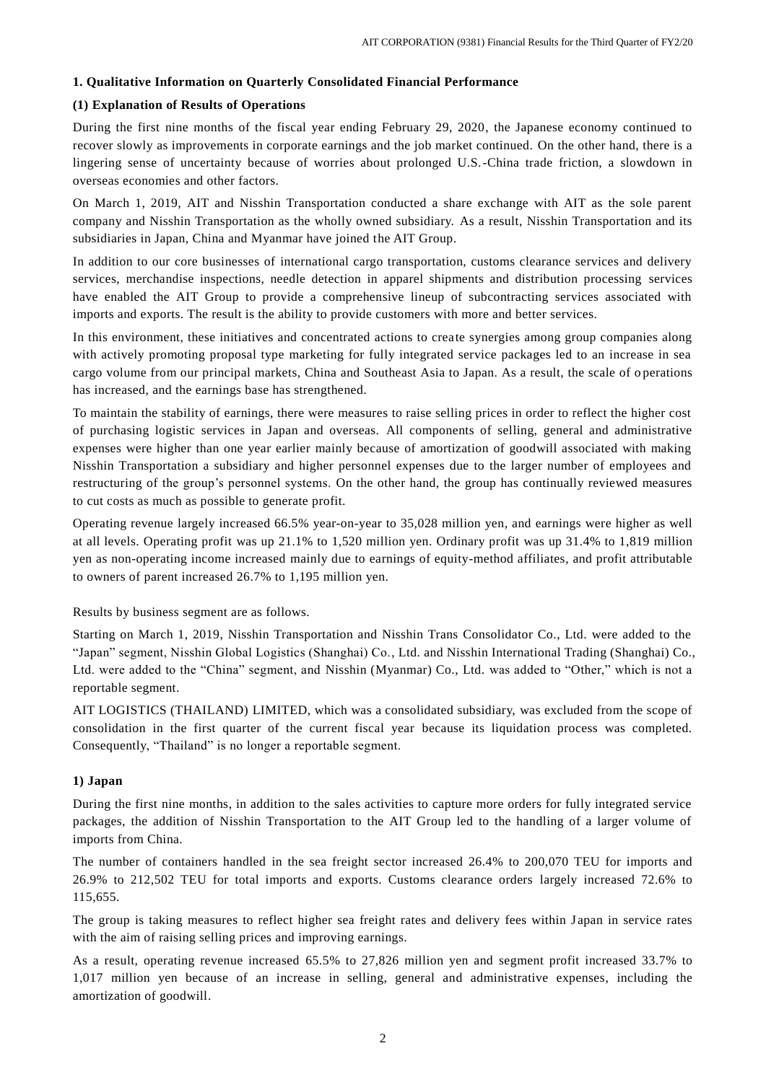## **1. Qualitative Information on Quarterly Consolidated Financial Performance**

## **(1) Explanation of Results of Operations**

During the first nine months of the fiscal year ending February 29, 2020, the Japanese economy continued to recover slowly as improvements in corporate earnings and the job market continued. On the other hand, there is a lingering sense of uncertainty because of worries about prolonged U.S.-China trade friction, a slowdown in overseas economies and other factors.

On March 1, 2019, AIT and Nisshin Transportation conducted a share exchange with AIT as the sole parent company and Nisshin Transportation as the wholly owned subsidiary. As a result, Nisshin Transportation and its subsidiaries in Japan, China and Myanmar have joined the AIT Group.

In addition to our core businesses of international cargo transportation, customs clearance services and delivery services, merchandise inspections, needle detection in apparel shipments and distribution processing services have enabled the AIT Group to provide a comprehensive lineup of subcontracting services associated with imports and exports. The result is the ability to provide customers with more and better services.

In this environment, these initiatives and concentrated actions to create synergies among group companies along with actively promoting proposal type marketing for fully integrated service packages led to an increase in sea cargo volume from our principal markets, China and Southeast Asia to Japan. As a result, the scale of o perations has increased, and the earnings base has strengthened.

To maintain the stability of earnings, there were measures to raise selling prices in order to reflect the higher cost of purchasing logistic services in Japan and overseas. All components of selling, general and administrative expenses were higher than one year earlier mainly because of amortization of goodwill associated with making Nisshin Transportation a subsidiary and higher personnel expenses due to the larger number of employees and restructuring of the group's personnel systems. On the other hand, the group has continually reviewed measures to cut costs as much as possible to generate profit.

Operating revenue largely increased 66.5% year-on-year to 35,028 million yen, and earnings were higher as well at all levels. Operating profit was up 21.1% to 1,520 million yen. Ordinary profit was up 31.4% to 1,819 million yen as non-operating income increased mainly due to earnings of equity-method affiliates, and profit attributable to owners of parent increased 26.7% to 1,195 million yen.

Results by business segment are as follows.

Starting on March 1, 2019, Nisshin Transportation and Nisshin Trans Consolidator Co., Ltd. were added to the "Japan" segment, Nisshin Global Logistics (Shanghai) Co., Ltd. and Nisshin International Trading (Shanghai) Co., Ltd. were added to the "China" segment, and Nisshin (Myanmar) Co., Ltd. was added to "Other," which is not a reportable segment.

AIT LOGISTICS (THAILAND) LIMITED, which was a consolidated subsidiary, was excluded from the scope of consolidation in the first quarter of the current fiscal year because its liquidation process was completed. Consequently, "Thailand" is no longer a reportable segment.

#### **1) Japan**

During the first nine months, in addition to the sales activities to capture more orders for fully integrated service packages, the addition of Nisshin Transportation to the AIT Group led to the handling of a larger volume of imports from China.

The number of containers handled in the sea freight sector increased 26.4% to 200,070 TEU for imports and 26.9% to 212,502 TEU for total imports and exports. Customs clearance orders largely increased 72.6% to 115,655.

The group is taking measures to reflect higher sea freight rates and delivery fees within Japan in service rates with the aim of raising selling prices and improving earnings.

As a result, operating revenue increased 65.5% to 27,826 million yen and segment profit increased 33.7% to 1,017 million yen because of an increase in selling, general and administrative expenses, including the amortization of goodwill.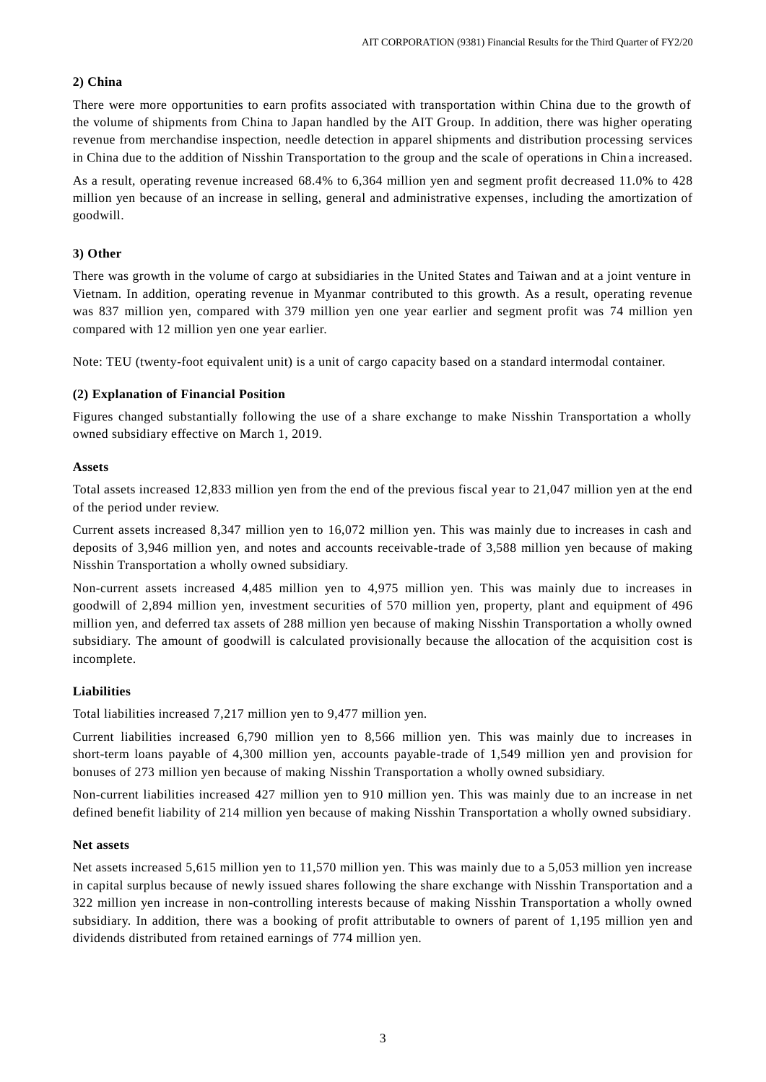## **2) China**

There were more opportunities to earn profits associated with transportation within China due to the growth of the volume of shipments from China to Japan handled by the AIT Group. In addition, there was higher operating revenue from merchandise inspection, needle detection in apparel shipments and distribution processing services in China due to the addition of Nisshin Transportation to the group and the scale of operations in Chin a increased.

As a result, operating revenue increased 68.4% to 6,364 million yen and segment profit decreased 11.0% to 428 million yen because of an increase in selling, general and administrative expenses, including the amortization of goodwill.

## **3) Other**

There was growth in the volume of cargo at subsidiaries in the United States and Taiwan and at a joint venture in Vietnam. In addition, operating revenue in Myanmar contributed to this growth. As a result, operating revenue was 837 million yen, compared with 379 million yen one year earlier and segment profit was 74 million yen compared with 12 million yen one year earlier.

Note: TEU (twenty-foot equivalent unit) is a unit of cargo capacity based on a standard intermodal container.

## **(2) Explanation of Financial Position**

Figures changed substantially following the use of a share exchange to make Nisshin Transportation a wholly owned subsidiary effective on March 1, 2019.

## **Assets**

Total assets increased 12,833 million yen from the end of the previous fiscal year to 21,047 million yen at the end of the period under review.

Current assets increased 8,347 million yen to 16,072 million yen. This was mainly due to increases in cash and deposits of 3,946 million yen, and notes and accounts receivable-trade of 3,588 million yen because of making Nisshin Transportation a wholly owned subsidiary.

Non-current assets increased 4,485 million yen to 4,975 million yen. This was mainly due to increases in goodwill of 2,894 million yen, investment securities of 570 million yen, property, plant and equipment of 496 million yen, and deferred tax assets of 288 million yen because of making Nisshin Transportation a wholly owned subsidiary. The amount of goodwill is calculated provisionally because the allocation of the acquisition cost is incomplete.

# **Liabilities**

Total liabilities increased 7,217 million yen to 9,477 million yen.

Current liabilities increased 6,790 million yen to 8,566 million yen. This was mainly due to increases in short-term loans payable of 4,300 million yen, accounts payable-trade of 1,549 million yen and provision for bonuses of 273 million yen because of making Nisshin Transportation a wholly owned subsidiary.

Non-current liabilities increased 427 million yen to 910 million yen. This was mainly due to an increase in net defined benefit liability of 214 million yen because of making Nisshin Transportation a wholly owned subsidiary.

## **Net assets**

Net assets increased 5,615 million yen to 11,570 million yen. This was mainly due to a 5,053 million yen increase in capital surplus because of newly issued shares following the share exchange with Nisshin Transportation and a 322 million yen increase in non-controlling interests because of making Nisshin Transportation a wholly owned subsidiary. In addition, there was a booking of profit attributable to owners of parent of 1,195 million yen and dividends distributed from retained earnings of 774 million yen.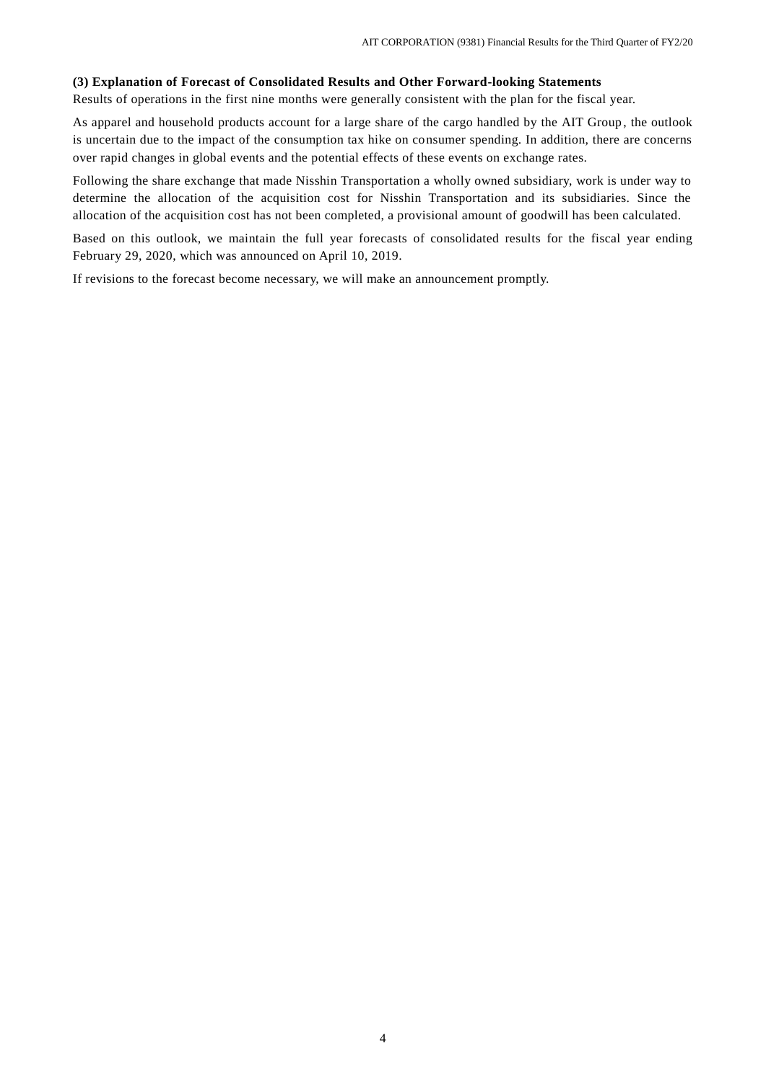#### **(3) Explanation of Forecast of Consolidated Results and Other Forward-looking Statements**

Results of operations in the first nine months were generally consistent with the plan for the fiscal year.

As apparel and household products account for a large share of the cargo handled by the AIT Group , the outlook is uncertain due to the impact of the consumption tax hike on consumer spending. In addition, there are concerns over rapid changes in global events and the potential effects of these events on exchange rates.

Following the share exchange that made Nisshin Transportation a wholly owned subsidiary, work is under way to determine the allocation of the acquisition cost for Nisshin Transportation and its subsidiaries. Since the allocation of the acquisition cost has not been completed, a provisional amount of goodwill has been calculated.

Based on this outlook, we maintain the full year forecasts of consolidated results for the fiscal year ending February 29, 2020, which was announced on April 10, 2019.

If revisions to the forecast become necessary, we will make an announcement promptly.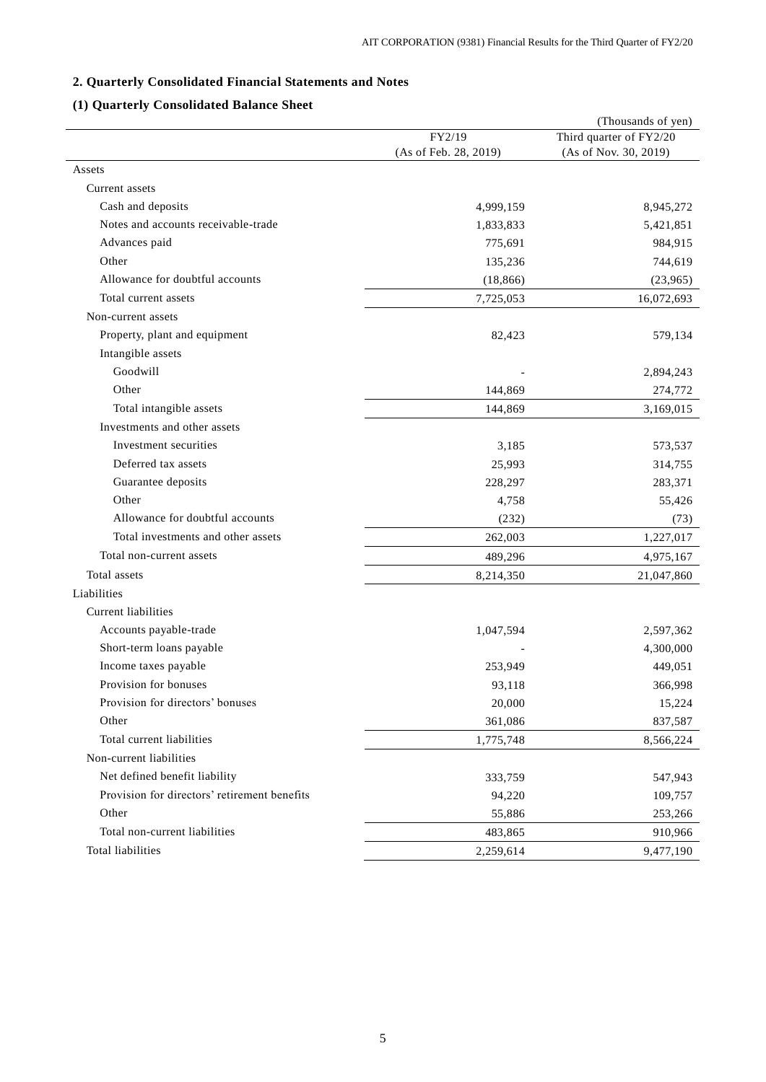# **2. Quarterly Consolidated Financial Statements and Notes**

# **(1) Quarterly Consolidated Balance Sheet**

|                                              |                       | (Thousands of yen)      |
|----------------------------------------------|-----------------------|-------------------------|
|                                              | FY2/19                | Third quarter of FY2/20 |
|                                              | (As of Feb. 28, 2019) | (As of Nov. 30, 2019)   |
| Assets                                       |                       |                         |
| Current assets                               |                       |                         |
| Cash and deposits                            | 4,999,159             | 8,945,272               |
| Notes and accounts receivable-trade          | 1,833,833             | 5,421,851               |
| Advances paid                                | 775,691               | 984,915                 |
| Other                                        | 135,236               | 744,619                 |
| Allowance for doubtful accounts              | (18, 866)             | (23,965)                |
| Total current assets                         | 7,725,053             | 16,072,693              |
| Non-current assets                           |                       |                         |
| Property, plant and equipment                | 82,423                | 579,134                 |
| Intangible assets                            |                       |                         |
| Goodwill                                     |                       | 2,894,243               |
| Other                                        | 144,869               | 274,772                 |
| Total intangible assets                      | 144,869               | 3,169,015               |
| Investments and other assets                 |                       |                         |
| Investment securities                        | 3,185                 | 573,537                 |
| Deferred tax assets                          | 25,993                | 314,755                 |
| Guarantee deposits                           | 228,297               | 283,371                 |
| Other                                        | 4,758                 | 55,426                  |
| Allowance for doubtful accounts              | (232)                 | (73)                    |
| Total investments and other assets           | 262,003               | 1,227,017               |
| Total non-current assets                     | 489,296               | 4,975,167               |
| Total assets                                 | 8,214,350             | 21,047,860              |
| Liabilities                                  |                       |                         |
| Current liabilities                          |                       |                         |
| Accounts payable-trade                       | 1,047,594             | 2,597,362               |
| Short-term loans payable                     |                       | 4,300,000               |
| Income taxes payable                         | 253,949               | 449,051                 |
| Provision for bonuses                        | 93,118                | 366,998                 |
| Provision for directors' bonuses             | 20,000                | 15,224                  |
| Other                                        | 361,086               | 837,587                 |
| Total current liabilities                    | 1,775,748             | 8,566,224               |
| Non-current liabilities                      |                       |                         |
| Net defined benefit liability                | 333,759               | 547,943                 |
| Provision for directors' retirement benefits | 94,220                | 109,757                 |
| Other                                        | 55,886                | 253,266                 |
| Total non-current liabilities                | 483,865               | 910,966                 |
| Total liabilities                            | 2,259,614             | 9,477,190               |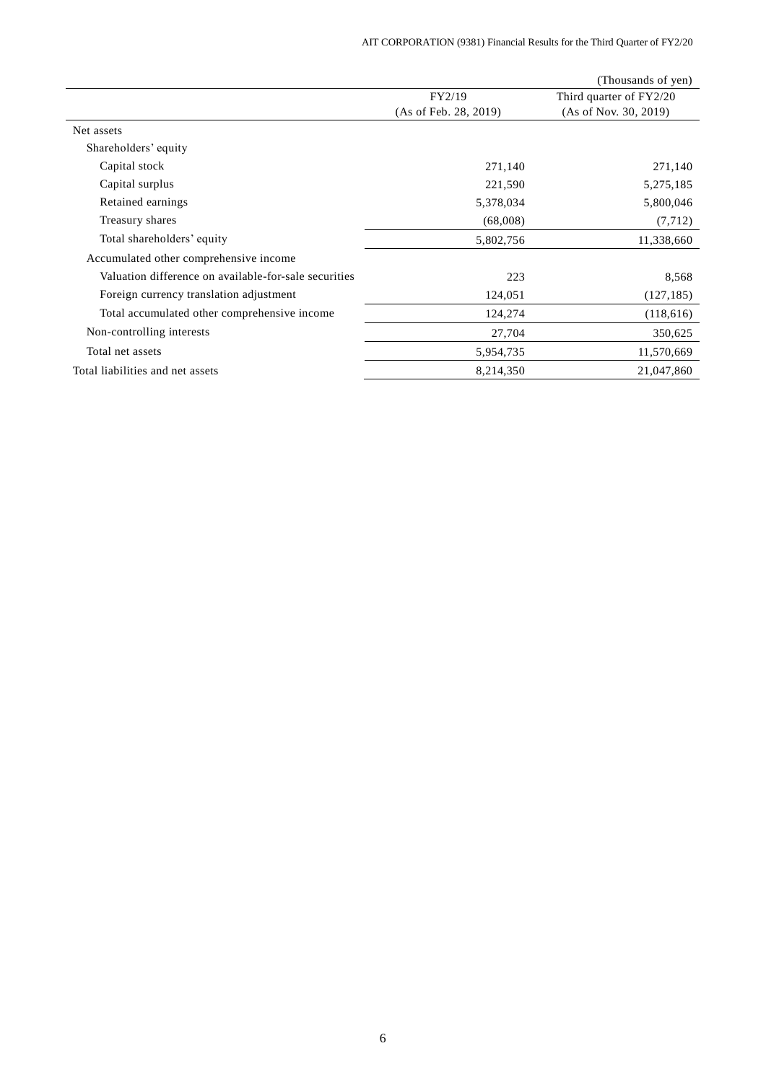|                                                       |                       | (Thousands of yen)      |
|-------------------------------------------------------|-----------------------|-------------------------|
|                                                       | FY2/19                | Third quarter of FY2/20 |
|                                                       | (As of Feb. 28, 2019) | (As of Nov. 30, 2019)   |
| Net assets                                            |                       |                         |
| Shareholders' equity                                  |                       |                         |
| Capital stock                                         | 271,140               | 271,140                 |
| Capital surplus                                       | 221,590               | 5,275,185               |
| Retained earnings                                     | 5,378,034             | 5,800,046               |
| Treasury shares                                       | (68,008)              | (7, 712)                |
| Total shareholders' equity                            | 5,802,756             | 11,338,660              |
| Accumulated other comprehensive income                |                       |                         |
| Valuation difference on available-for-sale securities | 223                   | 8,568                   |
| Foreign currency translation adjustment               | 124,051               | (127, 185)              |
| Total accumulated other comprehensive income          | 124,274               | (118, 616)              |
| Non-controlling interests                             | 27,704                | 350,625                 |
| Total net assets                                      | 5,954,735             | 11,570,669              |
| Total liabilities and net assets                      | 8,214,350             | 21,047,860              |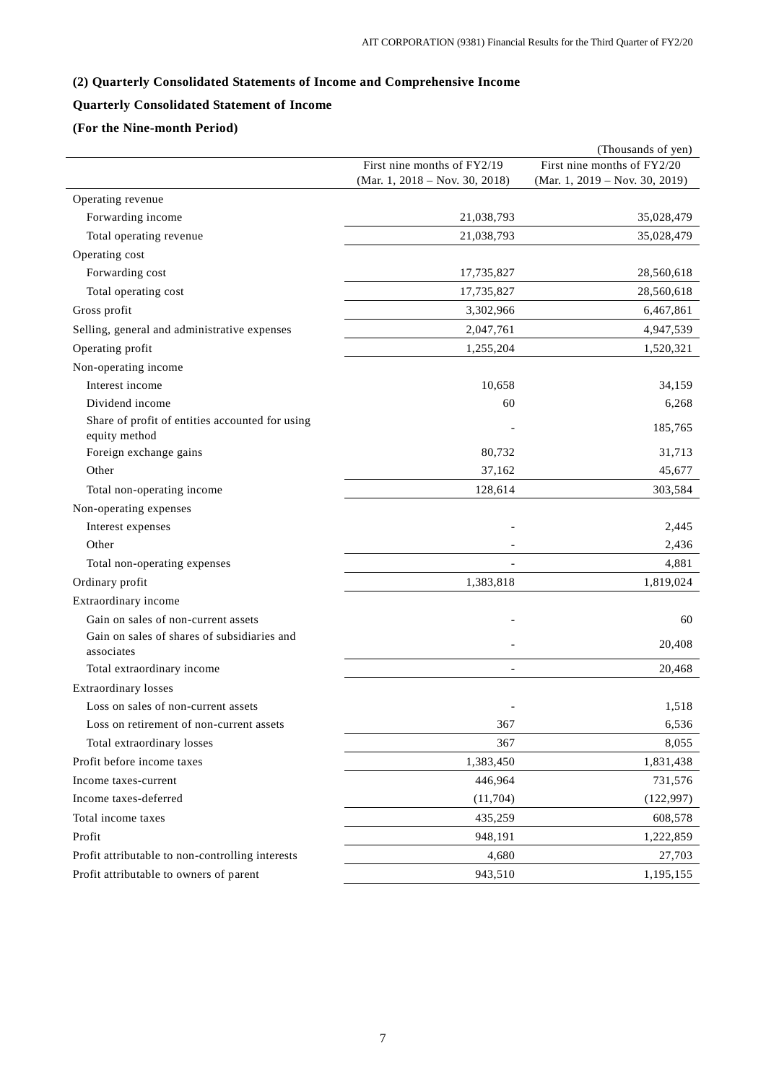# **(2) Quarterly Consolidated Statements of Income and Comprehensive Income**

## **Quarterly Consolidated Statement of Income**

## **(For the Nine-month Period)**

|                                                                  |                                | (Thousands of yen)             |
|------------------------------------------------------------------|--------------------------------|--------------------------------|
|                                                                  | First nine months of FY2/19    | First nine months of FY2/20    |
|                                                                  | (Mar. 1, 2018 – Nov. 30, 2018) | (Mar. 1, 2019 – Nov. 30, 2019) |
| Operating revenue                                                |                                |                                |
| Forwarding income                                                | 21,038,793                     | 35,028,479                     |
| Total operating revenue                                          | 21,038,793                     | 35,028,479                     |
| Operating cost                                                   |                                |                                |
| Forwarding cost                                                  | 17,735,827                     | 28,560,618                     |
| Total operating cost                                             | 17,735,827                     | 28,560,618                     |
| Gross profit                                                     | 3,302,966                      | 6,467,861                      |
| Selling, general and administrative expenses                     | 2,047,761                      | 4,947,539                      |
| Operating profit                                                 | 1,255,204                      | 1,520,321                      |
| Non-operating income                                             |                                |                                |
| Interest income                                                  | 10,658                         | 34,159                         |
| Dividend income                                                  | 60                             | 6,268                          |
| Share of profit of entities accounted for using<br>equity method |                                | 185,765                        |
| Foreign exchange gains                                           | 80,732                         | 31,713                         |
| Other                                                            | 37,162                         | 45,677                         |
| Total non-operating income                                       | 128,614                        | 303,584                        |
| Non-operating expenses                                           |                                |                                |
| Interest expenses                                                |                                | 2,445                          |
| Other                                                            |                                | 2,436                          |
| Total non-operating expenses                                     |                                | 4,881                          |
| Ordinary profit                                                  | 1,383,818                      | 1,819,024                      |
| Extraordinary income                                             |                                |                                |
| Gain on sales of non-current assets                              |                                | 60                             |
| Gain on sales of shares of subsidiaries and<br>associates        |                                | 20,408                         |
| Total extraordinary income                                       |                                | 20,468                         |
| <b>Extraordinary losses</b>                                      |                                |                                |
| Loss on sales of non-current assets                              |                                | 1,518                          |
| Loss on retirement of non-current assets                         | 367                            | 6,536                          |
| Total extraordinary losses                                       | 367                            | 8,055                          |
| Profit before income taxes                                       | 1,383,450                      | 1,831,438                      |
| Income taxes-current                                             | 446,964                        | 731,576                        |
| Income taxes-deferred                                            | (11,704)                       | (122, 997)                     |
| Total income taxes                                               | 435,259                        | 608,578                        |
| Profit                                                           | 948,191                        | 1,222,859                      |
| Profit attributable to non-controlling interests                 | 4,680                          | 27,703                         |
| Profit attributable to owners of parent                          | 943,510                        | 1,195,155                      |
|                                                                  |                                |                                |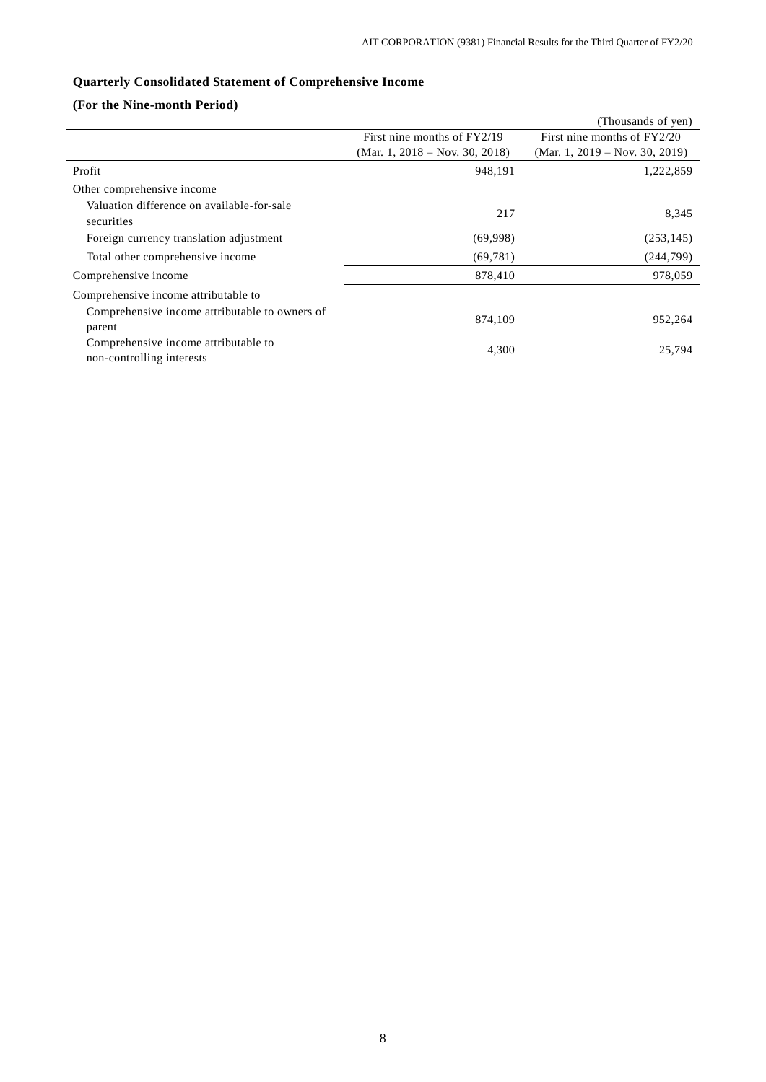# **Quarterly Consolidated Statement of Comprehensive Income**

## **(For the Nine-month Period)**

|                                                                   |                                | (Thousands of yen)             |
|-------------------------------------------------------------------|--------------------------------|--------------------------------|
|                                                                   | First nine months of FY2/19    | First nine months of FY2/20    |
|                                                                   | (Mar. 1, 2018 – Nov. 30, 2018) | (Mar. 1, 2019 – Nov. 30, 2019) |
| Profit                                                            | 948,191                        | 1,222,859                      |
| Other comprehensive income                                        |                                |                                |
| Valuation difference on available-for-sale<br>securities          | 217                            | 8,345                          |
| Foreign currency translation adjustment                           | (69,998)                       | (253, 145)                     |
| Total other comprehensive income                                  | (69, 781)                      | (244,799)                      |
| Comprehensive income                                              | 878,410                        | 978,059                        |
| Comprehensive income attributable to                              |                                |                                |
| Comprehensive income attributable to owners of<br>parent          | 874,109                        | 952,264                        |
| Comprehensive income attributable to<br>non-controlling interests | 4,300                          | 25,794                         |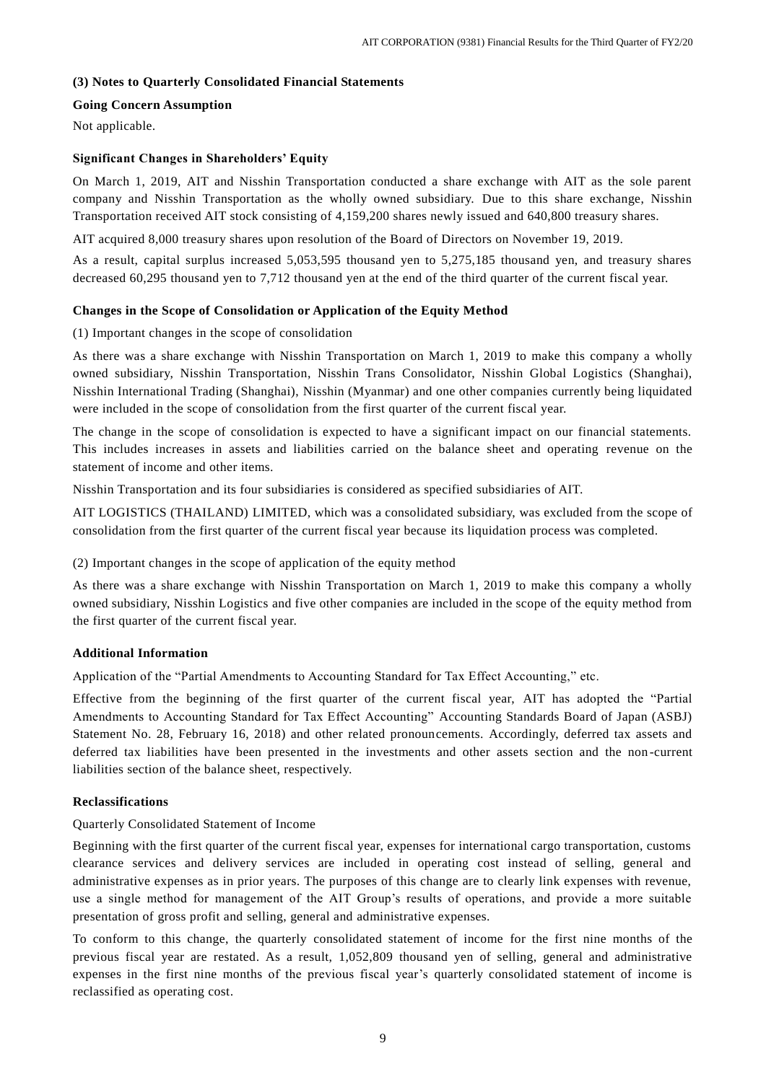### **(3) Notes to Quarterly Consolidated Financial Statements**

## **Going Concern Assumption**

Not applicable.

## **Significant Changes in Shareholders' Equity**

On March 1, 2019, AIT and Nisshin Transportation conducted a share exchange with AIT as the sole parent company and Nisshin Transportation as the wholly owned subsidiary. Due to this share exchange, Nisshin Transportation received AIT stock consisting of 4,159,200 shares newly issued and 640,800 treasury shares.

AIT acquired 8,000 treasury shares upon resolution of the Board of Directors on November 19, 2019.

As a result, capital surplus increased 5,053,595 thousand yen to 5,275,185 thousand yen, and treasury shares decreased 60,295 thousand yen to 7,712 thousand yen at the end of the third quarter of the current fiscal year.

## **Changes in the Scope of Consolidation or Application of the Equity Method**

(1) Important changes in the scope of consolidation

As there was a share exchange with Nisshin Transportation on March 1, 2019 to make this company a wholly owned subsidiary, Nisshin Transportation, Nisshin Trans Consolidator, Nisshin Global Logistics (Shanghai), Nisshin International Trading (Shanghai), Nisshin (Myanmar) and one other companies currently being liquidated were included in the scope of consolidation from the first quarter of the current fiscal year.

The change in the scope of consolidation is expected to have a significant impact on our financial statements. This includes increases in assets and liabilities carried on the balance sheet and operating revenue on the statement of income and other items.

Nisshin Transportation and its four subsidiaries is considered as specified subsidiaries of AIT.

AIT LOGISTICS (THAILAND) LIMITED, which was a consolidated subsidiary, was excluded from the scope of consolidation from the first quarter of the current fiscal year because its liquidation process was completed.

(2) Important changes in the scope of application of the equity method

As there was a share exchange with Nisshin Transportation on March 1, 2019 to make this company a wholly owned subsidiary, Nisshin Logistics and five other companies are included in the scope of the equity method from the first quarter of the current fiscal year.

### **Additional Information**

Application of the "Partial Amendments to Accounting Standard for Tax Effect Accounting," etc.

Effective from the beginning of the first quarter of the current fiscal year, AIT has adopted the "Partial Amendments to Accounting Standard for Tax Effect Accounting" Accounting Standards Board of Japan (ASBJ) Statement No. 28, February 16, 2018) and other related pronouncements. Accordingly, deferred tax assets and deferred tax liabilities have been presented in the investments and other assets section and the non -current liabilities section of the balance sheet, respectively.

## **Reclassifications**

Quarterly Consolidated Statement of Income

Beginning with the first quarter of the current fiscal year, expenses for international cargo transportation, customs clearance services and delivery services are included in operating cost instead of selling, general and administrative expenses as in prior years. The purposes of this change are to clearly link expenses with revenue, use a single method for management of the AIT Group's results of operations, and provide a more suitable presentation of gross profit and selling, general and administrative expenses.

To conform to this change, the quarterly consolidated statement of income for the first nine months of the previous fiscal year are restated. As a result, 1,052,809 thousand yen of selling, general and administrative expenses in the first nine months of the previous fiscal year's quarterly consolidated statement of income is reclassified as operating cost.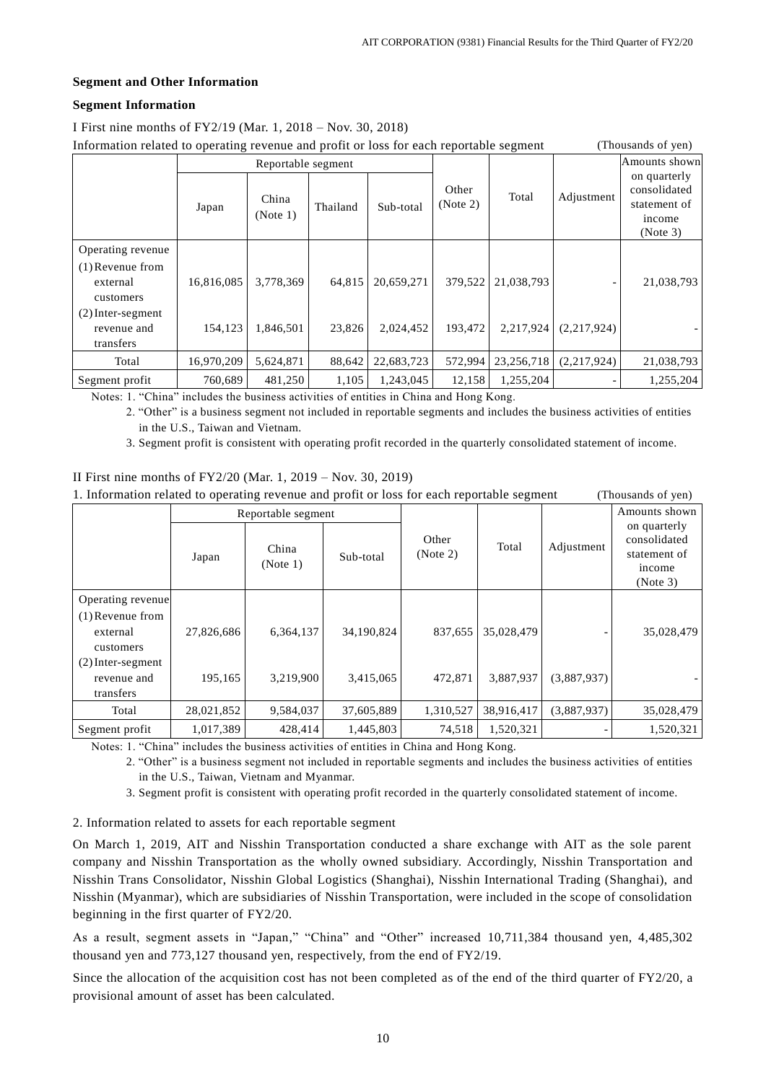## **Segment and Other Information**

## **Segment Information**

I First nine months of FY2/19 (Mar. 1, 2018 – Nov. 30, 2018)

Information related to operating revenue and profit or loss for each reportable segment (Thousands  $(T_{\rm B} - 1/c)$ )

| Information related to operating revenue and profit of loss for each reportable segment |                    |                   |          |            |                   | THOUSAIRS OF YELL |               |                                                                    |
|-----------------------------------------------------------------------------------------|--------------------|-------------------|----------|------------|-------------------|-------------------|---------------|--------------------------------------------------------------------|
|                                                                                         | Reportable segment |                   |          |            |                   |                   | Amounts shown |                                                                    |
|                                                                                         | Japan              | China<br>(Note 1) | Thailand | Sub-total  | Other<br>(Note 2) | Total             | Adjustment    | on quarterly<br>consolidated<br>statement of<br>income<br>(Note 3) |
| Operating revenue                                                                       |                    |                   |          |            |                   |                   |               |                                                                    |
| $(1)$ Revenue from                                                                      |                    |                   |          |            |                   |                   |               |                                                                    |
| external                                                                                | 16,816,085         | 3,778,369         | 64,815   | 20,659,271 | 379,522           | 21,038,793        |               | 21,038,793                                                         |
| customers                                                                               |                    |                   |          |            |                   |                   |               |                                                                    |
| $(2)$ Inter-segment                                                                     |                    |                   |          |            |                   |                   |               |                                                                    |
| revenue and                                                                             | 154,123            | 1,846,501         | 23,826   | 2,024,452  | 193,472           | 2,217,924         | (2,217,924)   |                                                                    |
| transfers                                                                               |                    |                   |          |            |                   |                   |               |                                                                    |
| Total                                                                                   | 16,970,209         | 5,624,871         | 88,642   | 22,683,723 | 572,994           | 23, 256, 718      | (2,217,924)   | 21,038,793                                                         |
| Segment profit                                                                          | 760,689            | 481,250           | 1,105    | 1,243,045  | 12,158            | 1,255,204         |               | 1,255,204                                                          |

Notes: 1. "China" includes the business activities of entities in China and Hong Kong.

2. "Other" is a business segment not included in reportable segments and includes the business activities of entities in the U.S., Taiwan and Vietnam.

3. Segment profit is consistent with operating profit recorded in the quarterly consolidated statement of income.

# II First nine months of FY2/20 (Mar. 1, 2019 – Nov. 30, 2019)

1. Information related to operating revenue and profit or loss for each reportable segment (Thousands of yen)

|                     | Reportable segment |                   |            |                   |            |             | Amounts shown                                                            |
|---------------------|--------------------|-------------------|------------|-------------------|------------|-------------|--------------------------------------------------------------------------|
|                     | Japan              | China<br>(Note 1) | Sub-total  | Other<br>(Note 2) | Total      | Adjustment  | on quarterly<br>consolidated<br>statement of<br><i>ncome</i><br>(Note 3) |
| Operating revenue   |                    |                   |            |                   |            |             |                                                                          |
| $(1)$ Revenue from  |                    |                   |            |                   |            |             |                                                                          |
| external            | 27,826,686         | 6,364,137         | 34,190,824 | 837,655           | 35,028,479 |             | 35,028,479                                                               |
| customers           |                    |                   |            |                   |            |             |                                                                          |
| $(2)$ Inter-segment |                    |                   |            |                   |            |             |                                                                          |
| revenue and         | 195,165            | 3,219,900         | 3,415,065  | 472,871           | 3,887,937  | (3,887,937) |                                                                          |
| transfers           |                    |                   |            |                   |            |             |                                                                          |
| Total               | 28,021,852         | 9,584,037         | 37,605,889 | 1,310,527         | 38,916,417 | (3,887,937) | 35,028,479                                                               |
| Segment profit      | 1,017,389          | 428,414           | 1,445,803  | 74,518            | 1,520,321  |             | 1,520,321                                                                |

Notes: 1. "China" includes the business activities of entities in China and Hong Kong.

2. "Other" is a business segment not included in reportable segments and includes the business activities of entities in the U.S., Taiwan, Vietnam and Myanmar.

3. Segment profit is consistent with operating profit recorded in the quarterly consolidated statement of income.

2. Information related to assets for each reportable segment

On March 1, 2019, AIT and Nisshin Transportation conducted a share exchange with AIT as the sole parent company and Nisshin Transportation as the wholly owned subsidiary. Accordingly, Nisshin Transportation and Nisshin Trans Consolidator, Nisshin Global Logistics (Shanghai), Nisshin International Trading (Shanghai), and Nisshin (Myanmar), which are subsidiaries of Nisshin Transportation, were included in the scope of consolidation beginning in the first quarter of FY2/20.

As a result, segment assets in "Japan," "China" and "Other" increased 10,711,384 thousand yen, 4,485,302 thousand yen and 773,127 thousand yen, respectively, from the end of FY2/19.

Since the allocation of the acquisition cost has not been completed as of the end of the third quarter of FY2/20, a provisional amount of asset has been calculated.